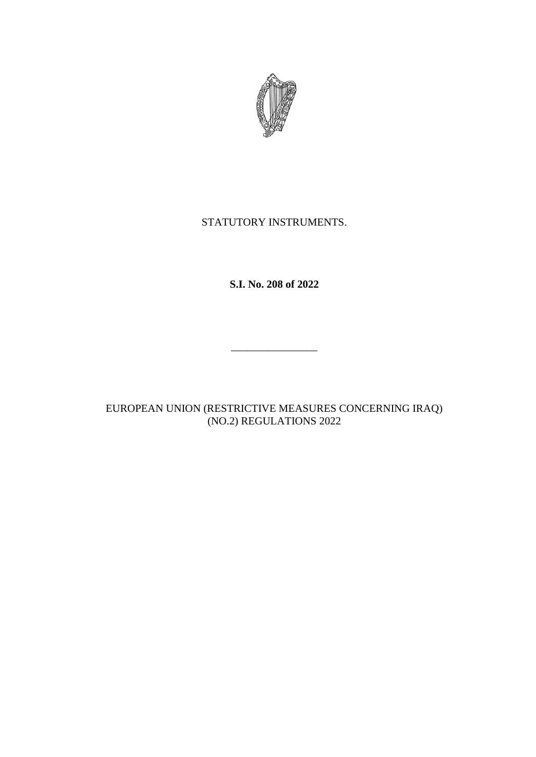

## STATUTORY INSTRUMENTS.

**S.I. No. 208 of 2022**

\_\_\_\_\_\_\_\_\_\_\_\_\_\_\_\_

EUROPEAN UNION (RESTRICTIVE MEASURES CONCERNING IRAQ) (NO.2) REGULATIONS 2022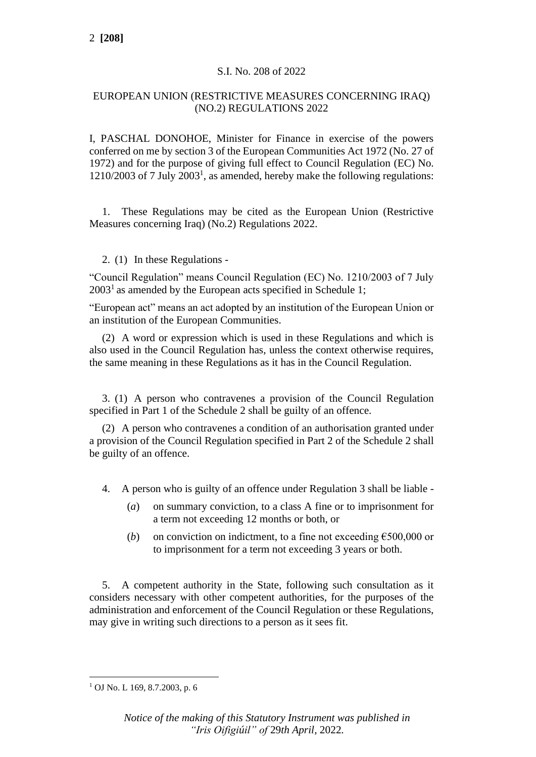### S.I. No. 208 of 2022

### EUROPEAN UNION (RESTRICTIVE MEASURES CONCERNING IRAQ) (NO.2) REGULATIONS 2022

I, PASCHAL DONOHOE, Minister for Finance in exercise of the powers conferred on me by section 3 of the European Communities Act 1972 (No. 27 of 1972) and for the purpose of giving full effect to Council Regulation (EC) No. 1210/2003 of 7 July 2003<sup>1</sup> , as amended, hereby make the following regulations:

1. These Regulations may be cited as the European Union (Restrictive Measures concerning Iraq) (No.2) Regulations 2022.

#### 2. (1) In these Regulations -

"Council Regulation" means Council Regulation (EC) No. 1210/2003 of 7 July  $2003<sup>1</sup>$  as amended by the European acts specified in Schedule 1;

"European act" means an act adopted by an institution of the European Union or an institution of the European Communities.

(2) A word or expression which is used in these Regulations and which is also used in the Council Regulation has, unless the context otherwise requires, the same meaning in these Regulations as it has in the Council Regulation.

3. (1) A person who contravenes a provision of the Council Regulation specified in Part 1 of the Schedule 2 shall be guilty of an offence.

(2) A person who contravenes a condition of an authorisation granted under a provision of the Council Regulation specified in Part 2 of the Schedule 2 shall be guilty of an offence.

- 4. A person who is guilty of an offence under Regulation 3 shall be liable
	- (*a*) on summary conviction, to a class A fine or to imprisonment for a term not exceeding 12 months or both, or
	- (*b*) on conviction on indictment, to a fine not exceeding  $\epsilon$ 500,000 or to imprisonment for a term not exceeding 3 years or both.

5. A competent authority in the State, following such consultation as it considers necessary with other competent authorities, for the purposes of the administration and enforcement of the Council Regulation or these Regulations, may give in writing such directions to a person as it sees fit.

 $1$  OJ No. L 169, 8.7.2003, p. 6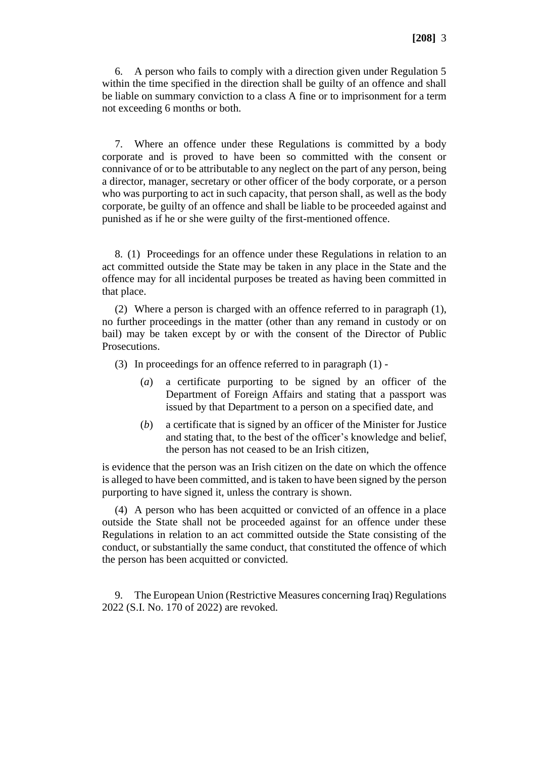6. A person who fails to comply with a direction given under Regulation 5 within the time specified in the direction shall be guilty of an offence and shall be liable on summary conviction to a class A fine or to imprisonment for a term not exceeding 6 months or both.

7. Where an offence under these Regulations is committed by a body corporate and is proved to have been so committed with the consent or connivance of or to be attributable to any neglect on the part of any person, being a director, manager, secretary or other officer of the body corporate, or a person who was purporting to act in such capacity, that person shall, as well as the body corporate, be guilty of an offence and shall be liable to be proceeded against and punished as if he or she were guilty of the first-mentioned offence.

8. (1) Proceedings for an offence under these Regulations in relation to an act committed outside the State may be taken in any place in the State and the offence may for all incidental purposes be treated as having been committed in that place.

(2) Where a person is charged with an offence referred to in paragraph (1), no further proceedings in the matter (other than any remand in custody or on bail) may be taken except by or with the consent of the Director of Public Prosecutions.

- (3) In proceedings for an offence referred to in paragraph (1)
	- (*a*) a certificate purporting to be signed by an officer of the Department of Foreign Affairs and stating that a passport was issued by that Department to a person on a specified date, and
	- (*b*) a certificate that is signed by an officer of the Minister for Justice and stating that, to the best of the officer's knowledge and belief, the person has not ceased to be an Irish citizen,

is evidence that the person was an Irish citizen on the date on which the offence is alleged to have been committed, and is taken to have been signed by the person purporting to have signed it, unless the contrary is shown.

(4) A person who has been acquitted or convicted of an offence in a place outside the State shall not be proceeded against for an offence under these Regulations in relation to an act committed outside the State consisting of the conduct, or substantially the same conduct, that constituted the offence of which the person has been acquitted or convicted.

9. The European Union (Restrictive Measures concerning Iraq) Regulations 2022 (S.I. No. 170 of 2022) are revoked.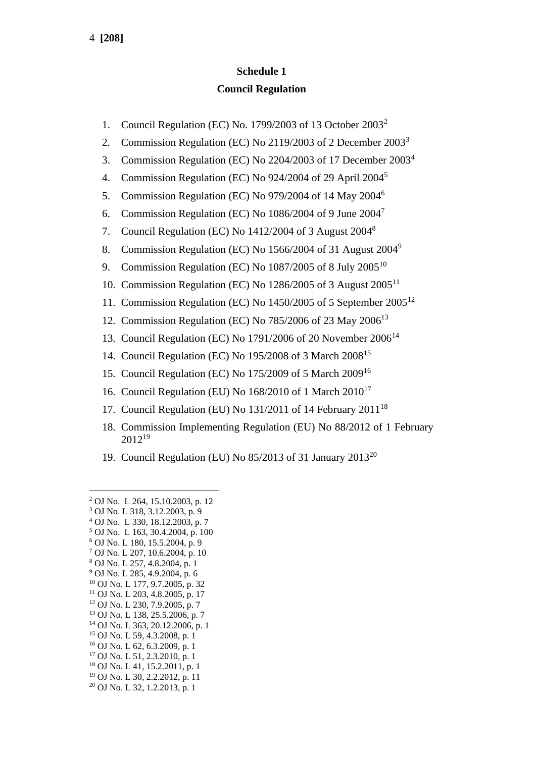# **Schedule 1 Council Regulation**

- 1. Council Regulation (EC) No. 1799/2003 of 13 October 2003<sup>2</sup>
- 2. Commission Regulation (EC) No 2119/2003 of 2 December 2003<sup>3</sup>
- 3. Commission Regulation (EC) No 2204/2003 of 17 December 2003<sup>4</sup>
- 4. Commission Regulation (EC) No 924/2004 of 29 April 2004<sup>5</sup>
- 5. Commission Regulation (EC) No 979/2004 of 14 May 2004<sup>6</sup>
- 6. Commission Regulation (EC) No  $1086/2004$  of 9 June  $2004<sup>7</sup>$
- 7. Council Regulation (EC) No 1412/2004 of 3 August 2004<sup>8</sup>
- 8. Commission Regulation (EC) No 1566/2004 of 31 August 2004<sup>9</sup>
- 9. Commission Regulation (EC) No 1087/2005 of 8 July 2005<sup>10</sup>
- 10. Commission Regulation (EC) No 1286/2005 of 3 August 2005<sup>11</sup>
- 11. Commission Regulation (EC) No 1450/2005 of 5 September 2005<sup>12</sup>
- 12. Commission Regulation (EC) No 785/2006 of 23 May 2006<sup>13</sup>
- 13. Council Regulation (EC) No 1791/2006 of 20 November 2006<sup>14</sup>
- 14. Council Regulation (EC) No 195/2008 of 3 March 2008<sup>15</sup>
- 15. Council Regulation (EC) No 175/2009 of 5 March 2009<sup>16</sup>
- 16. Council Regulation (EU) No 168/2010 of 1 March 2010<sup>17</sup>
- 17. Council Regulation (EU) No  $131/2011$  of 14 February  $2011^{18}$
- 18. Commission Implementing Regulation (EU) No 88/2012 of 1 February 2012<sup>19</sup>
- 19. Council Regulation (EU) No  $85/2013$  of 31 January  $2013^{20}$

- <sup>3</sup> OJ No. L 318, 3.12.2003, p. 9
- <sup>4</sup> OJ No. L 330, 18.12.2003, p. 7 <sup>5</sup> OJ No. L 163, 30.4.2004, p. 100
- <sup>6</sup> OJ No. L 180, 15.5.2004, p. 9
- <sup>7</sup> OJ No. L 207, 10.6.2004, p. 10
- <sup>8</sup> OJ No. L 257, 4.8.2004, p. 1
- <sup>9</sup> OJ No. L 285, 4.9.2004, p. 6
- <sup>10</sup> OJ No. L 177, 9.7.2005, p. 32
- <sup>11</sup> OJ No. L 203, 4.8.2005, p. 17
- <sup>12</sup> OJ No. L 230, 7.9.2005, p. 7
- <sup>13</sup> OJ No. L 138, 25.5.2006, p. 7
- <sup>14</sup> OJ No. L 363, 20.12.2006, p. 1
- <sup>15</sup> OJ No. L 59, 4.3.2008, p. 1
- <sup>16</sup> OJ No. L 62, 6.3.2009, p. 1 <sup>17</sup> OJ No. L 51, 2.3.2010, p. 1
- <sup>18</sup> OJ No. L 41, 15.2.2011, p. 1
- <sup>19</sup> OJ No. L 30, 2.2.2012, p. 11
- <sup>20</sup> OJ No. L 32, 1.2.2013, p. 1

<sup>2</sup> OJ No. L 264, 15.10.2003, p. 12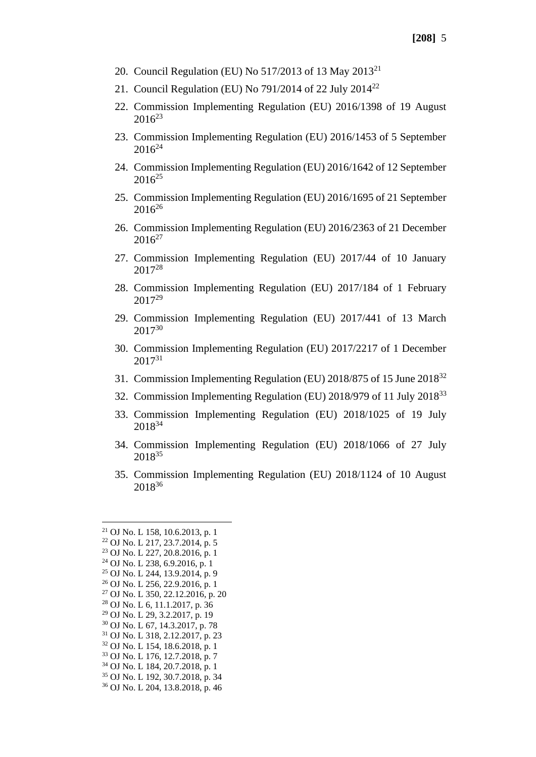- 20. Council Regulation (EU) No 517/2013 of 13 May 2013<sup>21</sup>
- 21. Council Regulation (EU) No 791/2014 of 22 July 2014<sup>22</sup>
- 22. Commission Implementing Regulation (EU) 2016/1398 of 19 August  $2016^{23}$
- 23. Commission Implementing Regulation (EU) 2016/1453 of 5 September  $2016^{24}$
- 24. Commission Implementing Regulation (EU) 2016/1642 of 12 September  $2016^{25}$
- 25. Commission Implementing Regulation (EU) 2016/1695 of 21 September 2016<sup>26</sup>
- 26. Commission Implementing Regulation (EU) 2016/2363 of 21 December  $2016^{27}$
- 27. Commission Implementing Regulation (EU) 2017/44 of 10 January 2017<sup>28</sup>
- 28. Commission Implementing Regulation (EU) 2017/184 of 1 February 2017<sup>29</sup>
- 29. Commission Implementing Regulation (EU) 2017/441 of 13 March 2017<sup>30</sup>
- 30. Commission Implementing Regulation (EU) 2017/2217 of 1 December 2017<sup>31</sup>
- 31. Commission Implementing Regulation (EU) 2018/875 of 15 June 2018<sup>32</sup>
- 32. Commission Implementing Regulation (EU) 2018/979 of 11 July 2018<sup>33</sup>
- 33. Commission Implementing Regulation (EU) 2018/1025 of 19 July 2018<sup>34</sup>
- 34. Commission Implementing Regulation (EU) 2018/1066 of 27 July 2018<sup>35</sup>
- 35. Commission Implementing Regulation (EU) 2018/1124 of 10 August 2018<sup>36</sup>

 OJ No. L 158, 10.6.2013, p. 1 OJ No. L 217, 23.7.2014, p. 5 OJ No. L 227, 20.8.2016, p. 1 OJ No. L 238, 6.9.2016, p. 1 OJ No. L 244, 13.9.2014, p. 9 OJ No. L 256, 22.9.2016, p. 1 OJ No. L 350, 22.12.2016, p. 20 OJ No. L 6, 11.1.2017, p. 36 OJ No. L 29, 3.2.2017, p. 19 OJ No. L 67, 14.3.2017, p. 78 OJ No. L 318, 2.12.2017, p. 23 OJ No. L 154, 18.6.2018, p. 1 OJ No. L 176, 12.7.2018, p. 7 OJ No. L 184, 20.7.2018, p. 1 OJ No. L 192, 30.7.2018, p. 34 OJ No. L 204, 13.8.2018, p. 46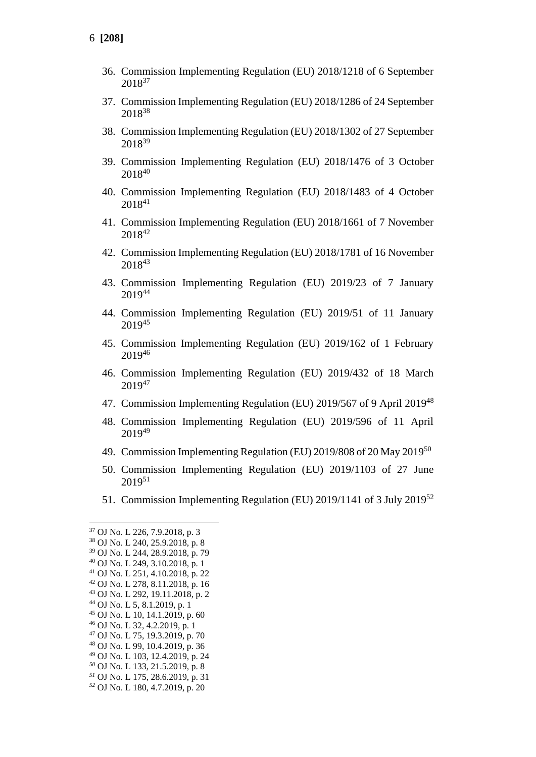- 36. Commission Implementing Regulation (EU) 2018/1218 of 6 September 2018<sup>37</sup>
- 37. Commission Implementing Regulation (EU) 2018/1286 of 24 September <sup>38</sup>
- 38. Commission Implementing Regulation (EU) 2018/1302 of 27 September 2018<sup>39</sup>
- 39. Commission Implementing Regulation (EU) 2018/1476 of 3 October <sup>40</sup>
- 40. Commission Implementing Regulation (EU) 2018/1483 of 4 October <sup>41</sup>
- 41. Commission Implementing Regulation (EU) 2018/1661 of 7 November <sup>42</sup>
- 42. Commission Implementing Regulation (EU) 2018/1781 of 16 November <sup>43</sup>
- 43. Commission Implementing Regulation (EU) 2019/23 of 7 January <sup>44</sup>
- 44. Commission Implementing Regulation (EU) 2019/51 of 11 January <sup>45</sup>
- 45. Commission Implementing Regulation (EU) 2019/162 of 1 February <sup>46</sup>
- 46. Commission Implementing Regulation (EU) 2019/432 of 18 March <sup>47</sup>
- 47. Commission Implementing Regulation (EU) 2019/567 of 9 April 2019<sup>48</sup>
- 48. Commission Implementing Regulation (EU) 2019/596 of 11 April <sup>49</sup>
- 49. Commission Implementing Regulation (EU) 2019/808 of 20 May 2019<sup>50</sup>
- 50. Commission Implementing Regulation (EU) 2019/1103 of 27 June <sup>51</sup>
- 51. Commission Implementing Regulation (EU) 2019/1141 of 3 July 2019<sup>52</sup>

- OJ No. L 99, 10.4.2019, p. 36
- OJ No. L 103, 12.4.2019, p. 24
- OJ No. L 133, 21.5.2019, p. 8
- OJ No. L 175, 28.6.2019, p. 31
- OJ No. L 180, 4.7.2019, p. 20

OJ No. L 226, 7.9.2018, p. 3

OJ No. L 240, 25.9.2018, p. 8

OJ No. L 244, 28.9.2018, p. 79

OJ No. L 249, 3.10.2018, p. 1

 OJ No. L 251, 4.10.2018, p. 22 OJ No. L 278, 8.11.2018, p. 16

OJ No. L 292, 19.11.2018, p. 2

OJ No. L 5, 8.1.2019, p. 1

OJ No. L 10, 14.1.2019, p. 60

OJ No. L 32, 4.2.2019, p. 1

OJ No. L 75, 19.3.2019, p. 70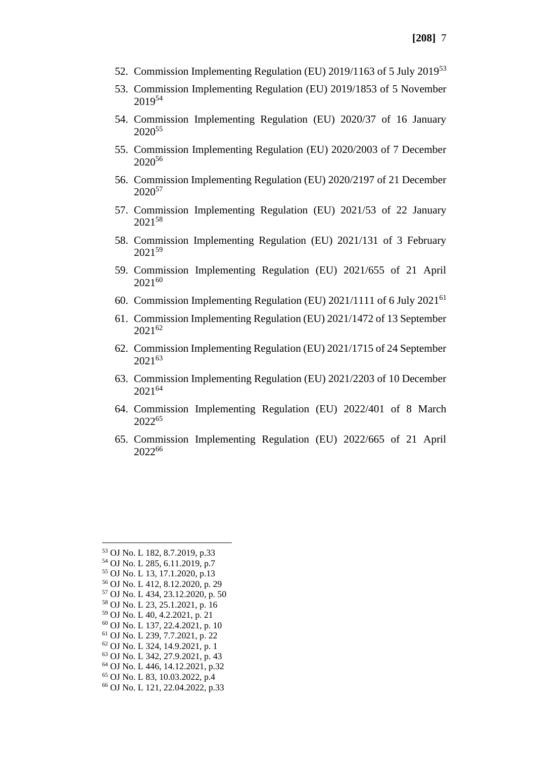- 52. Commission Implementing Regulation (EU) 2019/1163 of 5 July 2019<sup>53</sup>
- 53. Commission Implementing Regulation (EU) 2019/1853 of 5 November  $2019^{54}$
- 54. Commission Implementing Regulation (EU) 2020/37 of 16 January 2020<sup>55</sup>
- 55. Commission Implementing Regulation (EU) 2020/2003 of 7 December 2020<sup>56</sup>
- 56. Commission Implementing Regulation (EU) 2020/2197 of 21 December 2020<sup>57</sup>
- 57. Commission Implementing Regulation (EU) 2021/53 of 22 January 2021<sup>58</sup>
- 58. Commission Implementing Regulation (EU) 2021/131 of 3 February 2021<sup>59</sup>
- 59. Commission Implementing Regulation (EU) 2021/655 of 21 April 2021<sup>60</sup>
- 60. Commission Implementing Regulation (EU) 2021/1111 of 6 July 2021<sup>61</sup>
- 61. Commission Implementing Regulation (EU) 2021/1472 of 13 September 2021<sup>62</sup>
- 62. Commission Implementing Regulation (EU) 2021/1715 of 24 September 2021<sup>63</sup>
- 63. Commission Implementing Regulation (EU) 2021/2203 of 10 December 2021<sup>64</sup>
- 64. Commission Implementing Regulation (EU) 2022/401 of 8 March 2022<sup>65</sup>
- 65. Commission Implementing Regulation (EU) 2022/665 of 21 April 2022<sup>66</sup>

 OJ No. L 182, 8.7.2019, p.33 OJ No. L 285, 6.11.2019, p.7 OJ No. L 13, 17.1.2020, p.13 OJ No. L 412, 8.12.2020, p. 29 OJ No. L 434, 23.12.2020, p. 50 OJ No. L 23, 25.1.2021, p. 16 OJ No. L 40, 4.2.2021, p. 21 OJ No. L 137, 22.4.2021, p. 10 OJ No. L 239, 7.7.2021, p. 22 OJ No. L 324, 14.9.2021, p. 1 OJ No. L 342, 27.9.2021, p. 43 OJ No. L 446, 14.12.2021, p.32 OJ No. L 83, 10.03.2022, p.4 OJ No. L 121, 22.04.2022, p.33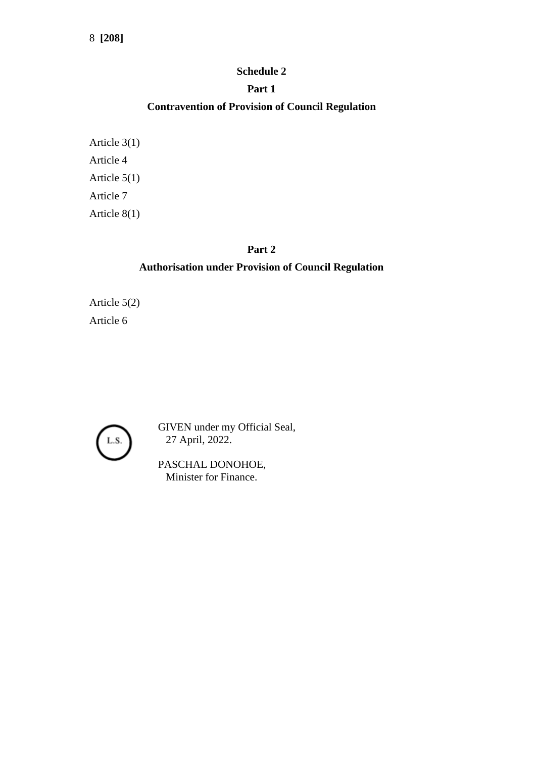#### **Schedule 2**

### **Part 1**

## **Contravention of Provision of Council Regulation**

Article 3(1) Article 4 Article 5(1) Article 7 Article 8(1)

#### **Part 2**

## **Authorisation under Provision of Council Regulation**

Article 5(2) Article 6



GIVEN under my Official Seal, 27 April, 2022.

PASCHAL DONOHOE, Minister for Finance.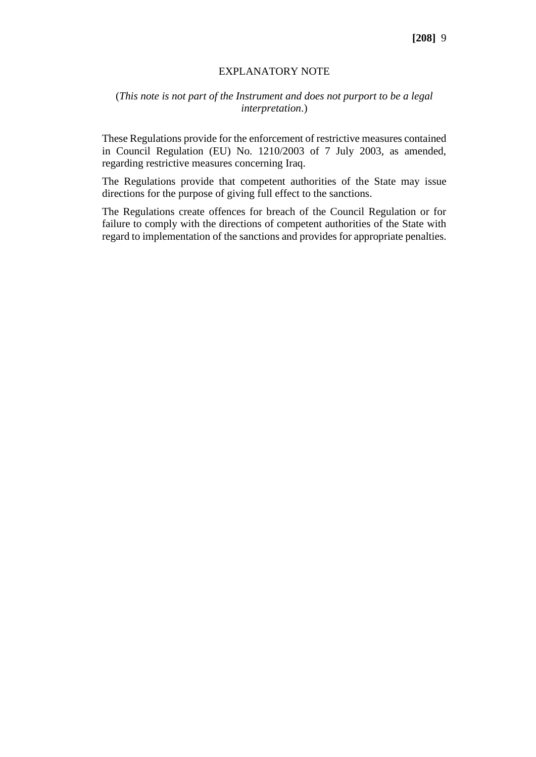#### EXPLANATORY NOTE

#### (*This note is not part of the Instrument and does not purport to be a legal interpretation*.)

These Regulations provide for the enforcement of restrictive measures contained in Council Regulation (EU) No. 1210/2003 of 7 July 2003, as amended, regarding restrictive measures concerning Iraq.

The Regulations provide that competent authorities of the State may issue directions for the purpose of giving full effect to the sanctions.

The Regulations create offences for breach of the Council Regulation or for failure to comply with the directions of competent authorities of the State with regard to implementation of the sanctions and provides for appropriate penalties.